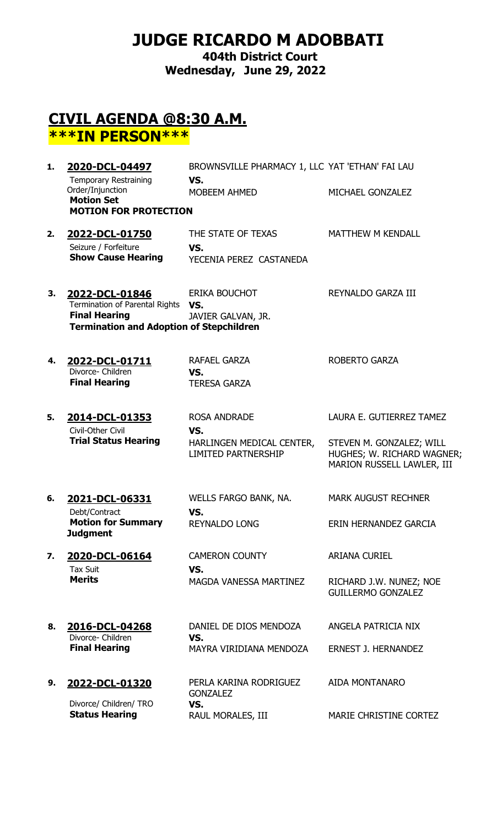# **JUDGE RICARDO M ADOBBATI**

**404th District Court Wednesday, June 29, 2022**

## **CIVIL AGENDA @8:30 A.M. \*\*\*IN PERSON\*\*\***

| 1. | 2020-DCL-04497                                                                                                              | BROWNSVILLE PHARMACY 1, LLC YAT 'ETHAN' FAI LAU                                       |                                                                                                                  |
|----|-----------------------------------------------------------------------------------------------------------------------------|---------------------------------------------------------------------------------------|------------------------------------------------------------------------------------------------------------------|
|    | <b>Temporary Restraining</b><br>Order/Injunction<br><b>Motion Set</b><br><b>MOTION FOR PROTECTION</b>                       | VS.<br>MOBEEM AHMED                                                                   | MICHAEL GONZALEZ                                                                                                 |
| 2. | 2022-DCL-01750<br>Seizure / Forfeiture<br><b>Show Cause Hearing</b>                                                         | THE STATE OF TEXAS<br>VS.<br>YECENIA PEREZ CASTANEDA                                  | <b>MATTHEW M KENDALL</b>                                                                                         |
| 3. | 2022-DCL-01846<br>Termination of Parental Rights<br><b>Final Hearing</b><br><b>Termination and Adoption of Stepchildren</b> | ERIKA BOUCHOT<br>VS.<br>JAVIER GALVAN, JR.                                            | REYNALDO GARZA III                                                                                               |
| 4. | 2022-DCL-01711<br>Divorce- Children<br><b>Final Hearing</b>                                                                 | RAFAEL GARZA<br>VS.<br><b>TERESA GARZA</b>                                            | <b>ROBERTO GARZA</b>                                                                                             |
| 5. | 2014-DCL-01353<br>Civil-Other Civil<br><b>Trial Status Hearing</b>                                                          | <b>ROSA ANDRADE</b><br>VS.<br>HARLINGEN MEDICAL CENTER,<br><b>LIMITED PARTNERSHIP</b> | LAURA E. GUTIERREZ TAMEZ<br>STEVEN M. GONZALEZ; WILL<br>HUGHES; W. RICHARD WAGNER;<br>MARION RUSSELL LAWLER, III |
| 6. | 2021-DCL-06331<br>Debt/Contract<br><b>Motion for Summary</b><br><b>Judgment</b>                                             | WELLS FARGO BANK, NA.<br>VS.<br><b>REYNALDO LONG</b>                                  | <b>MARK AUGUST RECHNER</b><br>ERIN HERNANDEZ GARCIA                                                              |
| 7. | 2020-DCL-06164<br><b>Tax Suit</b><br><b>Merits</b>                                                                          | <b>CAMERON COUNTY</b><br>VS.<br><b>MAGDA VANESSA MARTINEZ</b>                         | <b>ARIANA CURIEL</b><br>RICHARD J.W. NUNEZ; NOE<br><b>GUILLERMO GONZALEZ</b>                                     |
| 8. | 2016-DCL-04268<br>Divorce- Children<br><b>Final Hearing</b>                                                                 | DANIEL DE DIOS MENDOZA<br>VS.<br>MAYRA VIRIDIANA MENDOZA                              | ANGELA PATRICIA NIX<br><b>ERNEST J. HERNANDEZ</b>                                                                |
| 9. | 2022-DCL-01320<br>Divorce/ Children/ TRO<br><b>Status Hearing</b>                                                           | PERLA KARINA RODRIGUEZ<br><b>GONZALEZ</b><br>VS.<br>RAUL MORALES, III                 | AIDA MONTANARO<br>MARIE CHRISTINE CORTEZ                                                                         |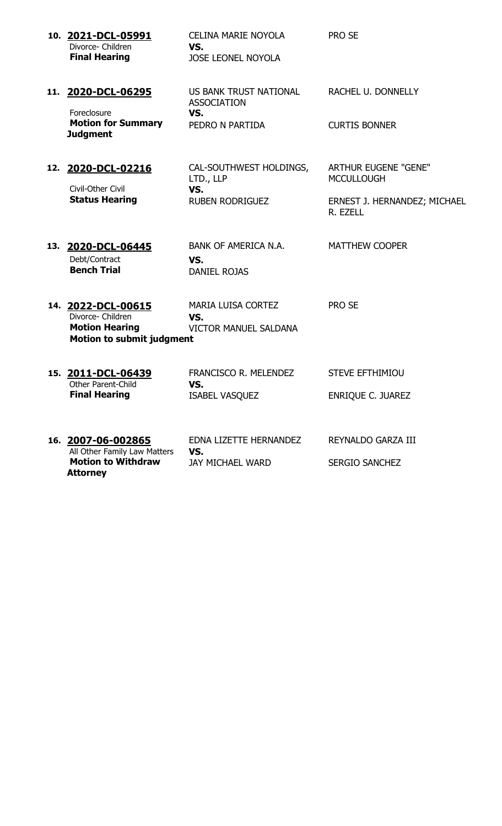| 10. 2021-DCL-05991<br>Divorce- Children<br><b>Final Hearing</b>                                      | <b>CELINA MARIE NOYOLA</b><br>VS.<br><b>JOSE LEONEL NOYOLA</b>         | <b>PRO SE</b>                                                                                |
|------------------------------------------------------------------------------------------------------|------------------------------------------------------------------------|----------------------------------------------------------------------------------------------|
| 11. 2020-DCL-06295<br>Foreclosure<br><b>Motion for Summary</b><br><b>Judgment</b>                    | US BANK TRUST NATIONAL<br><b>ASSOCIATION</b><br>VS.<br>PEDRO N PARTIDA | <b>RACHEL U. DONNELLY</b><br><b>CURTIS BONNER</b>                                            |
| 12. 2020-DCL-02216<br>Civil-Other Civil<br><b>Status Hearing</b>                                     | CAL-SOUTHWEST HOLDINGS,<br>LTD., LLP<br>VS.<br><b>RUBEN RODRIGUEZ</b>  | <b>ARTHUR EUGENE "GENE"</b><br><b>MCCULLOUGH</b><br>ERNEST J. HERNANDEZ; MICHAEL<br>R. EZELL |
| 13. 2020-DCL-06445<br>Debt/Contract<br><b>Bench Trial</b>                                            | <b>BANK OF AMERICA N.A.</b><br>VS.<br><b>DANIEL ROJAS</b>              | <b>MATTHEW COOPER</b>                                                                        |
| 14. 2022-DCL-00615<br>Divorce- Children<br><b>Motion Hearing</b><br><b>Motion to submit judgment</b> | <b>MARIA LUISA CORTEZ</b><br>VS.<br><b>VICTOR MANUEL SALDANA</b>       | <b>PRO SE</b>                                                                                |
| 15. 2011-DCL-06439<br><b>Other Parent-Child</b><br><b>Final Hearing</b>                              | FRANCISCO R. MELENDEZ<br>VS.<br><b>ISABEL VASQUEZ</b>                  | <b>STEVE EFTHIMIOU</b><br>ENRIQUE C. JUAREZ                                                  |
| 16. 2007-06-002865<br>All Other Family Law Matters<br><b>Motion to Withdraw</b>                      | EDNA LIZETTE HERNANDEZ<br>VS.<br><b>JAY MICHAEL WARD</b>               | REYNALDO GARZA III<br><b>SERGIO SANCHEZ</b>                                                  |

**Attorney**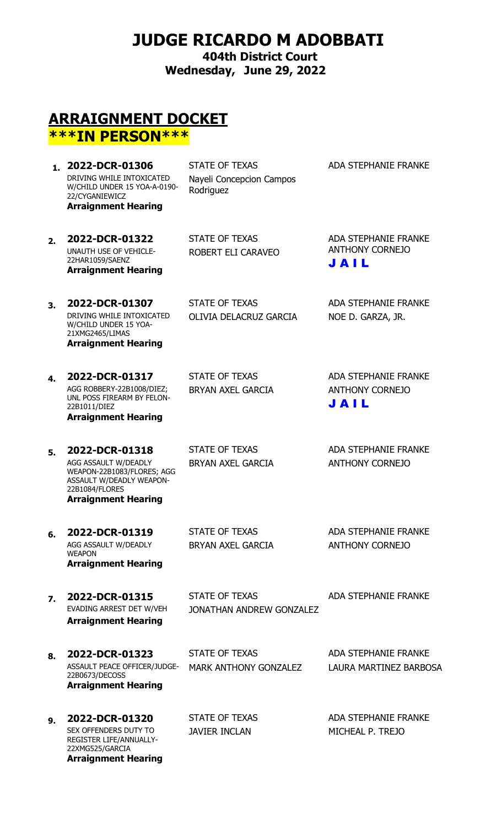## **JUDGE RICARDO M ADOBBATI**

**404th District Court Wednesday, June 29, 2022**

### **ARRAIGNMENT DOCKET \*\*\*IN PERSON\*\*\***

1. **2022-DCR-01306** STATE OF TEXAS ADA STEPHANIE FRANKE DRIVING WHILE INTOXICATED W/CHILD UNDER 15 YOA-A-0190- 22/CYGANIEWICZ **Arraignment Hearing**

Nayeli Concepcion Campos Rodriguez

**2. 2022-DCR-01322** STATE OF TEXAS ADA STEPHANIE FRANKE UNAUTH USE OF VEHICLE-22HAR1059/SAENZ **Arraignment Hearing**

ROBERT ELI CARAVEO

ANTHONY CORNEJO J A I L

**3. 2022-DCR-01307** STATE OF TEXAS ADA STEPHANIE FRANKE DRIVING WHILE INTOXICATED W/CHILD UNDER 15 YOA-21XMG2465/LIMAS **Arraignment Hearing**

OLIVIA DELACRUZ GARCIA NOE D. GARZA, JR.

AGG ROBBERY-22B1008/DIEZ; UNL POSS FIREARM BY FELON-22B1011/DIEZ **Arraignment Hearing**

BRYAN AXEL GARCIA ANTHONY CORNEJO

**4. 2022-DCR-01317** STATE OF TEXAS ADA STEPHANIE FRANKE J A I L

#### **5. 2022-DCR-01318** STATE OF TEXAS ADA STEPHANIE FRANKE AGG ASSAULT W/DEADLY WEAPON-22B1083/FLORES; AGG ASSAULT W/DEADLY WEAPON-22B1084/FLORES **Arraignment Hearing**

BRYAN AXEL GARCIA ANTHONY CORNEJO

**6. 2022-DCR-01319** STATE OF TEXAS ADA STEPHANIE FRANKE AGG ASSAULT W/DEADLY WEAPON **Arraignment Hearing**

BRYAN AXEL GARCIA ANTHONY CORNEJO

**Arraignment Hearing**

**7. 2022-DCR-01315** STATE OF TEXAS ADA STEPHANIE FRANKE<br>EVADING ARREST DET W/VEH IONATHAN ANDRFW GONZAL FZ JONATHAN ANDREW GONZALEZ

**8. 2022-DCR-01323** STATE OF TEXAS ADA STEPHANIE FRANKE ASSAULT PEACE OFFICER/JUDGE-22B0673/DECOSS **Arraignment Hearing**

MARK ANTHONY GONZALEZ LAURA MARTINEZ BARBOSA

**9. 2022-DCR-01320** STATE OF TEXAS ADA STEPHANIE FRANKE SEX OFFENDERS DUTY TO REGISTER LIFE/ANNUALLY-22XMG525/GARCIA **Arraignment Hearing**

JAVIER INCLAN MICHEAL P. TREJO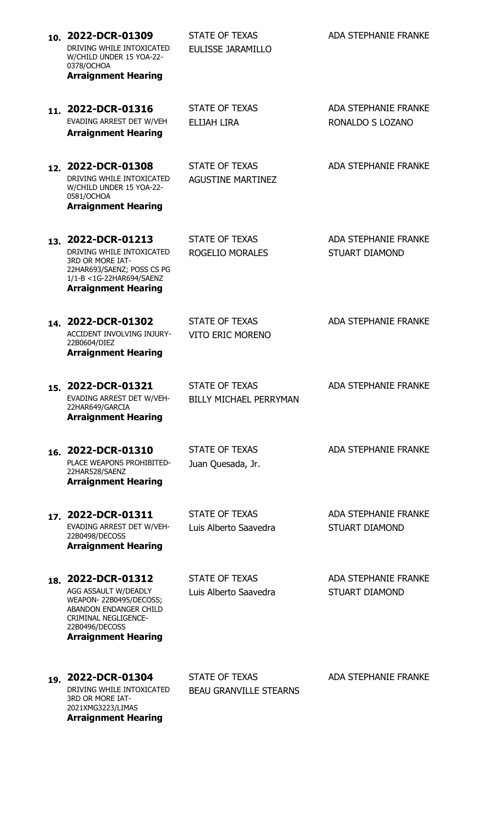| 10. 2022-DCR-01309<br>DRIVING WHILE INTOXICATED<br>W/CHILD UNDER 15 YOA-22-<br>0378/OCHOA<br><b>Arraignment Hearing</b>                                                       | <b>STATE OF TEXAS</b><br><b>EULISSE JARAMILLO</b>      | <b>ADA STEPHANIE FRANKE</b>                          |
|-------------------------------------------------------------------------------------------------------------------------------------------------------------------------------|--------------------------------------------------------|------------------------------------------------------|
| 11. 2022-DCR-01316<br>EVADING ARREST DET W/VEH<br><b>Arraignment Hearing</b>                                                                                                  | <b>STATE OF TEXAS</b><br><b>ELIJAH LIRA</b>            | <b>ADA STEPHANIE FRANKE</b><br>RONALDO S LOZANO      |
| 12. 2022-DCR-01308<br>DRIVING WHILE INTOXICATED<br>W/CHILD UNDER 15 YOA-22-<br>0581/OCHOA<br><b>Arraignment Hearing</b>                                                       | <b>STATE OF TEXAS</b><br><b>AGUSTINE MARTINEZ</b>      | <b>ADA STEPHANIE FRANKE</b>                          |
| 13. 2022-DCR-01213<br>DRIVING WHILE INTOXICATED<br>3RD OR MORE IAT-<br>22HAR693/SAENZ; POSS CS PG<br>1/1-B < 1G-22HAR694/SAENZ<br><b>Arraignment Hearing</b>                  | <b>STATE OF TEXAS</b><br><b>ROGELIO MORALES</b>        | <b>ADA STEPHANIE FRANKE</b><br><b>STUART DIAMOND</b> |
| 14. 2022-DCR-01302<br>ACCIDENT INVOLVING INJURY-<br>22B0604/DIEZ<br><b>Arraignment Hearing</b>                                                                                | <b>STATE OF TEXAS</b><br><b>VITO ERIC MORENO</b>       | <b>ADA STEPHANIE FRANKE</b>                          |
| 15. 2022-DCR-01321<br>EVADING ARREST DET W/VEH-<br>22HAR649/GARCIA<br><b>Arraignment Hearing</b>                                                                              | <b>STATE OF TEXAS</b><br><b>BILLY MICHAEL PERRYMAN</b> | <b>ADA STEPHANIE FRANKE</b>                          |
| 16. 2022-DCR-01310<br>PLACE WEAPONS PROHIBITED-<br>22HAR528/SAENZ<br><b>Arraignment Hearing</b>                                                                               | <b>STATE OF TEXAS</b><br>Juan Quesada, Jr.             | <b>ADA STEPHANIE FRANKE</b>                          |
| 17. 2022-DCR-01311<br>EVADING ARREST DET W/VEH-<br>22B0498/DECOSS<br><b>Arraignment Hearing</b>                                                                               | <b>STATE OF TEXAS</b><br>Luis Alberto Saavedra         | <b>ADA STEPHANIE FRANKE</b><br><b>STUART DIAMOND</b> |
| 18. 2022-DCR-01312<br>AGG ASSAULT W/DEADLY<br>WEAPON-22B0495/DECOSS;<br>ABANDON ENDANGER CHILD<br><b>CRIMINAL NEGLIGENCE-</b><br>22B0496/DECOSS<br><b>Arraignment Hearing</b> | <b>STATE OF TEXAS</b><br>Luis Alberto Saavedra         | <b>ADA STEPHANIE FRANKE</b><br><b>STUART DIAMOND</b> |
| 19. 2022-DCR-01304<br>DRIVING WHILE INTOXICATED<br>3RD OR MORE IAT-<br>2021XMG3223/LIMAS                                                                                      | <b>STATE OF TEXAS</b><br><b>BEAU GRANVILLE STEARNS</b> | <b>ADA STEPHANIE FRANKE</b>                          |

**Arraignment Hearing**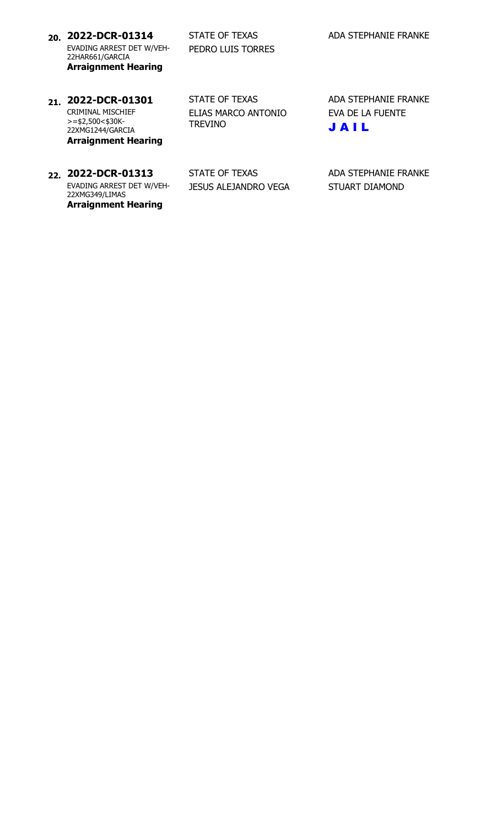**20. 2022-DCR-01314** STATE OF TEXAS ADA STEPHANIE FRANKE EVADING ARREST DET W/VEH-22HAR661/GARCIA **Arraignment Hearing**

PEDRO LUIS TORRES

CRIMINAL MISCHIEF  $>=$ \$2,500<\$30K-22XMG1244/GARCIA **Arraignment Hearing** ELIAS MARCO ANTONIO TREVINO

21. **2022-DCR-01301** STATE OF TEXAS ADA STEPHANIE FRANKE EVA DE LA FUENTE J A I L

EVADING ARREST DET W/VEH-22XMG349/LIMAS **Arraignment Hearing**

**22. 2022-DCR-01313** STATE OF TEXAS ADA STEPHANIE FRANKE JESUS ALEJANDRO VEGA STUART DIAMOND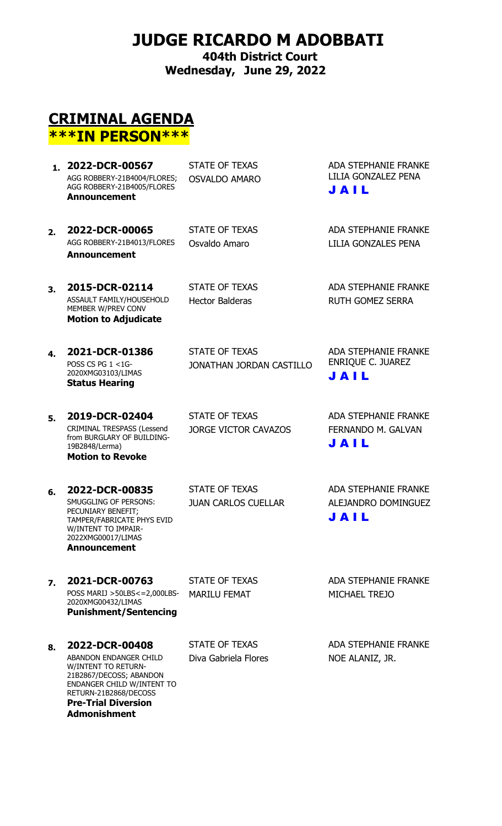# **JUDGE RICARDO M ADOBBATI**

**404th District Court Wednesday, June 29, 2022**

## **CRIMINAL AGENDA \*\*\*IN PERSON\*\*\***

- 1. **2022-DCR-00567** STATE OF TEXAS ADA STEPHANIE FRANKE AGG ROBBERY-21B4004/FLORES; AGG ROBBERY-21B4005/FLORES OSVALDO AMARO **Announcement**
- **2. 2022-DCR-00065** STATE OF TEXAS ADA STEPHANIE FRANKE<br>AGG ROBBERY-21B4013/FLORES Osvaldo Amaro 1111A GONZALES PENA **Announcement**

LILIA GONZALEZ PENA J A I L

Osvaldo Amaro **LILIA GONZALES PENA** 

**3. 2015-DCR-02114** STATE OF TEXAS ADA STEPHANIE FRANKE ASSAULT FAMILY/HOUSEHOLD MEMBER W/PREV CONV **Motion to Adjudicate**

Hector Balderas **RUTH GOMEZ SERRA** 

**4. 2021-DCR-01386** STATE OF TEXAS ADA STEPHANIE FRANKE POSS CS PG  $1 < 1$ G-2020XMG03103/LIMAS **Status Hearing**

19B2848/Lerma)

**Motion to Revoke**

CRIMINAL TRESPASS (Lessend from BURGLARY OF BUILDING- JONATHAN JORDAN CASTILLO

**5. 2019-DCR-02404** STATE OF TEXAS ADA STEPHANIE FRANKE

J A I L

ENRIQUE C. JUAREZ

JORGE VICTOR CAVAZOS FERNANDO M. GALVAN J A I L

**6. 2022-DCR-00835** STATE OF TEXAS ADA STEPHANIE FRANKE SMUGGLING OF PERSONS: PECUNIARY BENEFIT; TAMPER/FABRICATE PHYS EVID W/INTENT TO IMPAIR-2022XMG00017/LIMAS **Announcement**

JUAN CARLOS CUELLAR ALEJANDRO DOMINGUEZ J A I L

**7. 2021-DCR-00763** STATE OF TEXAS ADA STEPHANIE FRANKE POSS MARIJ >50LBS<=2,000LBS-2020XMG00432/LIMAS **Punishment/Sentencing**

**8. 2022-DCR-00408** STATE OF TEXAS ADA STEPHANIE FRANKE ABANDON ENDANGER CHILD W/INTENT TO RETURN-21B2867/DECOSS; ABANDON ENDANGER CHILD W/INTENT TO RETURN-21B2868/DECOSS **Pre-Trial Diversion Admonishment**

MARILU FEMAT MICHAEL TREJO

Diva Gabriela Flores NOE ALANIZ, JR.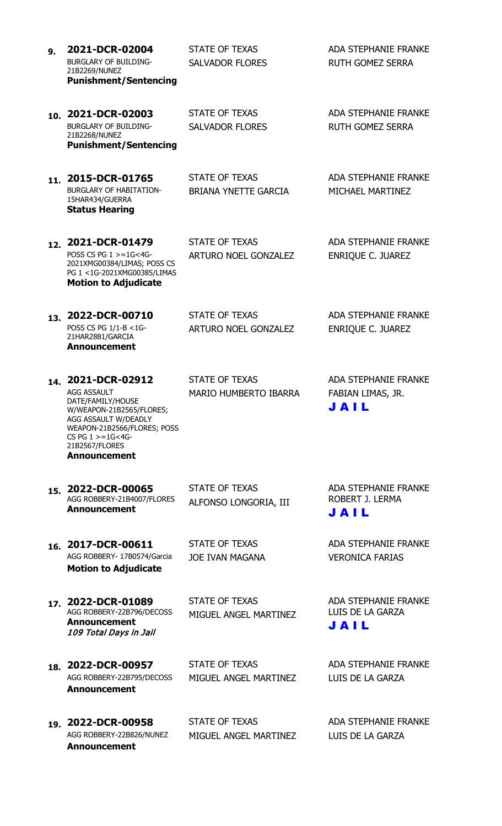| 9.  | 2021-DCR-02004<br><b>BURGLARY OF BUILDING-</b><br>21B2269/NUNEZ<br><b>Punishment/Sentencing</b>                                                                                                                      | <b>STATE OF TEXAS</b><br><b>SALVADOR FLORES</b>       | <b>ADA STEPHANIE FRANKE</b><br><b>RUTH GOMEZ SERRA</b>   |
|-----|----------------------------------------------------------------------------------------------------------------------------------------------------------------------------------------------------------------------|-------------------------------------------------------|----------------------------------------------------------|
|     | 10. 2021-DCR-02003<br><b>BURGLARY OF BUILDING-</b><br>21B2268/NUNEZ<br><b>Punishment/Sentencing</b>                                                                                                                  | <b>STATE OF TEXAS</b><br><b>SALVADOR FLORES</b>       | <b>ADA STEPHANIE FRANKE</b><br><b>RUTH GOMEZ SERRA</b>   |
| 11. | 2015-DCR-01765<br><b>BURGLARY OF HABITATION-</b><br>15HAR434/GUERRA<br><b>Status Hearing</b>                                                                                                                         | <b>STATE OF TEXAS</b><br><b>BRIANA YNETTE GARCIA</b>  | <b>ADA STEPHANIE FRANKE</b><br>MICHAEL MARTINEZ          |
|     | 12. 2021-DCR-01479<br>POSS CS PG $1 > = 1$ G<4G-<br>2021XMG00384/LIMAS; POSS CS<br>PG 1 <1G-2021XMG00385/LIMAS<br><b>Motion to Adjudicate</b>                                                                        | <b>STATE OF TEXAS</b><br><b>ARTURO NOEL GONZALEZ</b>  | <b>ADA STEPHANIE FRANKE</b><br><b>ENRIQUE C. JUAREZ</b>  |
| 13. | 2022-DCR-00710<br>POSS CS PG 1/1-B <1G-<br>21HAR2881/GARCIA<br><b>Announcement</b>                                                                                                                                   | <b>STATE OF TEXAS</b><br><b>ARTURO NOEL GONZALEZ</b>  | <b>ADA STEPHANIE FRANKE</b><br><b>ENRIQUE C. JUAREZ</b>  |
|     | 14. 2021-DCR-02912<br><b>AGG ASSAULT</b><br>DATE/FAMILY/HOUSE<br>W/WEAPON-21B2565/FLORES;<br>AGG ASSAULT W/DEADLY<br>WEAPON-21B2566/FLORES; POSS<br>$CS$ PG $1 > = 1$ G<4G-<br>21B2567/FLORES<br><b>Announcement</b> | <b>STATE OF TEXAS</b><br><b>MARIO HUMBERTO IBARRA</b> | <b>ADA STEPHANIE FRANKE</b><br>FABIAN LIMAS, JR.<br>JAIL |
|     | 15. 2022-DCR-00065<br>AGG ROBBERY-21B4007/FLORES<br><b>Announcement</b>                                                                                                                                              | <b>STATE OF TEXAS</b><br>ALFONSO LONGORIA, III        | <b>ADA STEPHANIE FRANKE</b><br>ROBERT J. LERMA<br>JAIL   |
|     | 16. 2017-DCR-00611<br>AGG ROBBERY- 17B0574/Garcia<br><b>Motion to Adjudicate</b>                                                                                                                                     | <b>STATE OF TEXAS</b><br><b>JOE IVAN MAGANA</b>       | <b>ADA STEPHANIE FRANKE</b><br><b>VERONICA FARIAS</b>    |
|     | 17. 2022-DCR-01089<br>AGG ROBBERY-22B796/DECOSS<br><b>Announcement</b><br>109 Total Days in Jail                                                                                                                     | <b>STATE OF TEXAS</b><br>MIGUEL ANGEL MARTINEZ        | <b>ADA STEPHANIE FRANKE</b><br>LUIS DE LA GARZA<br>JAIL  |
|     | 18. 2022-DCR-00957<br>AGG ROBBERY-22B795/DECOSS<br><b>Announcement</b>                                                                                                                                               | <b>STATE OF TEXAS</b><br>MIGUEL ANGEL MARTINEZ        | <b>ADA STEPHANIE FRANKE</b><br>LUIS DE LA GARZA          |
|     | 19. 2022-DCR-00958<br>AGG ROBBERY-22B826/NUNEZ                                                                                                                                                                       | <b>STATE OF TEXAS</b><br>MIGUEL ANGEL MARTINEZ        | <b>ADA STEPHANIE FRANKE</b><br>LUIS DE LA GARZA          |

**Announcement**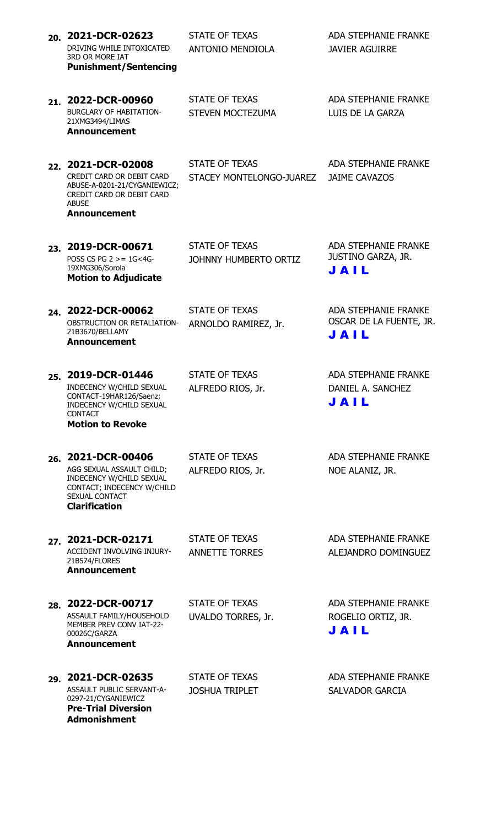| 20. 2021-DCR-02623<br>DRIVING WHILE INTOXICATED<br><b>3RD OR MORE IAT</b><br><b>Punishment/Sentencing</b>                                           | <b>STATE OF TEXAS</b><br><b>ANTONIO MENDIOLA</b> | <b>ADA STEPHANIE FRANKE</b><br><b>JAVIER AGUIRRE</b>             |
|-----------------------------------------------------------------------------------------------------------------------------------------------------|--------------------------------------------------|------------------------------------------------------------------|
| 21. 2022-DCR-00960<br><b>BURGLARY OF HABITATION-</b><br>21XMG3494/LIMAS<br><b>Announcement</b>                                                      | STATE OF TEXAS<br>STEVEN MOCTEZUMA               | <b>ADA STEPHANIE FRANKE</b><br>LUIS DE LA GARZA                  |
| 22. 2021-DCR-02008<br>CREDIT CARD OR DEBIT CARD<br>ABUSE-A-0201-21/CYGANIEWICZ;<br>CREDIT CARD OR DEBIT CARD<br><b>ABUSE</b><br><b>Announcement</b> | STATE OF TEXAS<br>STACEY MONTELONGO-JUAREZ       | <b>ADA STEPHANIE FRANKE</b><br><b>JAIME CAVAZOS</b>              |
| 23. 2019-DCR-00671<br>POSS CS PG $2 > = 1$ G<4G-<br>19XMG306/Sorola<br><b>Motion to Adjudicate</b>                                                  | <b>STATE OF TEXAS</b><br>JOHNNY HUMBERTO ORTIZ   | <b>ADA STEPHANIE FRANKE</b><br>JUSTINO GARZA, JR.<br>JAIL        |
| 24. 2022-DCR-00062<br>OBSTRUCTION OR RETALIATION-<br>21B3670/BELLAMY<br><b>Announcement</b>                                                         | <b>STATE OF TEXAS</b><br>ARNOLDO RAMIREZ, Jr.    | <b>ADA STEPHANIE FRANKE</b><br>OSCAR DE LA FUENTE, JR.<br>JAIL   |
| 25. 2019-DCR-01446<br>INDECENCY W/CHILD SEXUAL<br>CONTACT-19HAR126/Saenz;<br>INDECENCY W/CHILD SEXUAL<br><b>CONTACT</b><br><b>Motion to Revoke</b>  | <b>STATE OF TEXAS</b><br>ALFREDO RIOS, Jr.       | <b>ADA STEPHANIE FRANKE</b><br>DANIEL A. SANCHEZ<br><b>JAIL</b>  |
| 26. 2021-DCR-00406<br>AGG SEXUAL ASSAULT CHILD;<br>INDECENCY W/CHILD SEXUAL<br>CONTACT; INDECENCY W/CHILD<br>SEXUAL CONTACT<br><b>Clarification</b> | <b>STATE OF TEXAS</b><br>ALFREDO RIOS, Jr.       | <b>ADA STEPHANIE FRANKE</b><br>NOE ALANIZ, JR.                   |
| 27. 2021-DCR-02171<br>ACCIDENT INVOLVING INJURY-<br>21B574/FLORES<br><b>Announcement</b>                                                            | <b>STATE OF TEXAS</b><br><b>ANNETTE TORRES</b>   | <b>ADA STEPHANIE FRANKE</b><br>ALEJANDRO DOMINGUEZ               |
| 28. 2022-DCR-00717<br>ASSAULT FAMILY/HOUSEHOLD<br>MEMBER PREV CONV IAT-22-<br>00026C/GARZA<br><b>Announcement</b>                                   | <b>STATE OF TEXAS</b><br>UVALDO TORRES, Jr.      | <b>ADA STEPHANIE FRANKE</b><br>ROGELIO ORTIZ, JR.<br><b>JAIL</b> |
| 29. 2021-DCR-02635<br>ASSAULT PUBLIC SERVANT-A-<br>0297-21/CYGANIEWICZ<br><b>Pre-Trial Diversion</b><br><b>Admonishment</b>                         | <b>STATE OF TEXAS</b><br><b>JOSHUA TRIPLET</b>   | <b>ADA STEPHANIE FRANKE</b><br><b>SALVADOR GARCIA</b>            |